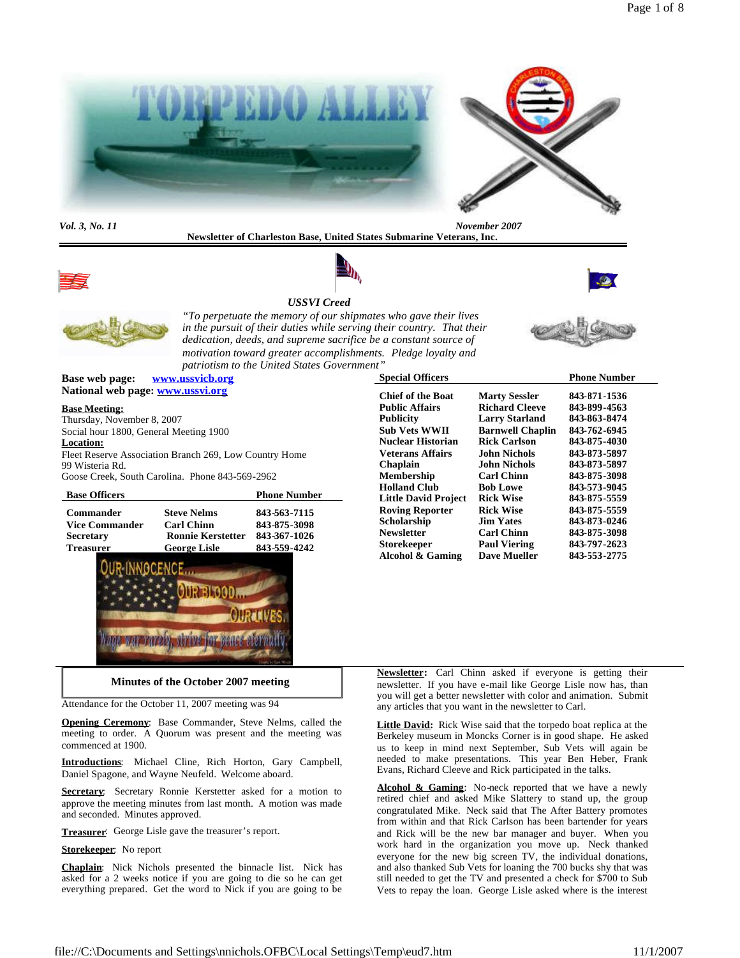

**Newsletter of Charleston Base, United States Submarine Veterans, Inc.**



# *USSVI Creed*





*"To perpetuate the memory of our shipmates who gave their lives in the pursuit of their duties while serving their country. That their dedication, deeds, and supreme sacrifice be a constant source of motivation toward greater accomplishments. Pledge loyalty and patriotism to the United States Government"*

**Base web page: www.ussvicb.org National web page: www.ussvi.org**

### **Base Meeting:**

Thursday, November 8, 2007 Social hour 1800, General Meeting 1900 **Location:** Fleet Reserve Association Branch 269, Low Country Home 99 Wisteria Rd. Goose Creek, South Carolina. Phone 843-569-2962

| <b>Base Officers</b>  |                          | <b>Phone Number</b> |
|-----------------------|--------------------------|---------------------|
| <b>Commander</b>      | <b>Steve Nelms</b>       | 843-563-7115        |
| <b>Vice Commander</b> | <b>Carl Chinn</b>        | 843-875-3098        |
| <b>Secretary</b>      | <b>Ronnie Kerstetter</b> | 843-367-1026        |
| <b>Treasurer</b>      | <b>George Lisle</b>      | 843-559-4242        |



| <b>Special Officers</b>     |                         | <b>Phone Number</b> |
|-----------------------------|-------------------------|---------------------|
| <b>Chief of the Boat</b>    | <b>Marty Sessler</b>    | 843-871-1536        |
| <b>Public Affairs</b>       | <b>Richard Cleeve</b>   | 843-899-4563        |
| <b>Publicity</b>            | <b>Larry Starland</b>   | 843-863-8474        |
| <b>Sub Vets WWII</b>        | <b>Barnwell Chaplin</b> | 843-762-6945        |
| <b>Nuclear Historian</b>    | <b>Rick Carlson</b>     | 843-875-4030        |
| <b>Veterans Affairs</b>     | <b>John Nichols</b>     | 843-873-5897        |
| Chaplain                    | John Nichols            | 843-873-5897        |
| <b>Membership</b>           | <b>Carl Chinn</b>       | 843-875-3098        |
| <b>Holland Club</b>         | <b>Bob Lowe</b>         | 843-573-9045        |
| <b>Little David Project</b> | <b>Rick Wise</b>        | 843-875-5559        |
| <b>Roving Reporter</b>      | <b>Rick Wise</b>        | 843-875-5559        |
| Scholarship                 | <b>Jim Yates</b>        | 843-873-0246        |
| <b>Newsletter</b>           | <b>Carl Chinn</b>       | 843-875-3098        |
| <b>Storekeeper</b>          | <b>Paul Viering</b>     | 843-797-2623        |
| Alcohol & Gaming            | <b>Dave Mueller</b>     | 843-553-2775        |

Attendance for the October 11, 2007 meeting was 94

**Opening Ceremony**: Base Commander, Steve Nelms, called the meeting to order. A Quorum was present and the meeting was commenced at 1900.

**Minutes of the October 2007 meeting**

**Introductions**: Michael Cline, Rich Horton, Gary Campbell, Daniel Spagone, and Wayne Neufeld. Welcome aboard.

**Secretary**: Secretary Ronnie Kerstetter asked for a motion to approve the meeting minutes from last month. A motion was made and seconded. Minutes approved.

**Treasurer**: George Lisle gave the treasurer's report.

#### **Storekeeper**: No report

**Chaplain**: Nick Nichols presented the binnacle list. Nick has asked for a 2 weeks notice if you are going to die so he can get everything prepared. Get the word to Nick if you are going to be

**Newsletter:** Carl Chinn asked if everyone is getting their newsletter. If you have e-mail like George Lisle now has, than you will get a better newsletter with color and animation. Submit any articles that you want in the newsletter to Carl.

**Little David:** Rick Wise said that the torpedo boat replica at the Berkeley museum in Moncks Corner is in good shape. He asked us to keep in mind next September, Sub Vets will again be needed to make presentations. This year Ben Heber, Frank Evans, Richard Cleeve and Rick participated in the talks.

Alcohol & Gaming: No-neck reported that we have a newly retired chief and asked Mike Slattery to stand up, the group congratulated Mike. Neck said that The After Battery promotes from within and that Rick Carlson has been bartender for years and Rick will be the new bar manager and buyer. When you work hard in the organization you move up. Neck thanked everyone for the new big screen TV, the individual donations, and also thanked Sub Vets for loaning the 700 bucks shy that was still needed to get the TV and presented a check for \$700 to Sub Vets to repay the loan. George Lisle asked where is the interest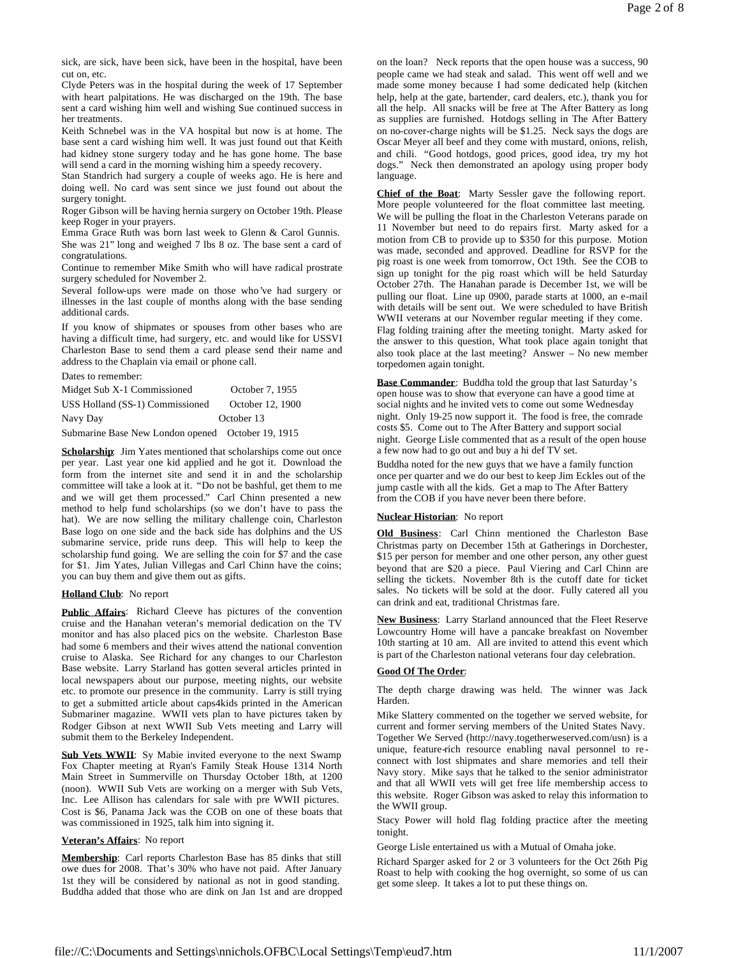sick, are sick, have been sick, have been in the hospital, have been cut on, etc.

Clyde Peters was in the hospital during the week of 17 September with heart palpitations. He was discharged on the 19th. The base sent a card wishing him well and wishing Sue continued success in her treatments.

Keith Schnebel was in the VA hospital but now is at home. The base sent a card wishing him well. It was just found out that Keith had kidney stone surgery today and he has gone home. The base will send a card in the morning wishing him a speedy recovery.

Stan Standrich had surgery a couple of weeks ago. He is here and doing well. No card was sent since we just found out about the surgery tonight.

Roger Gibson will be having hernia surgery on October 19th. Please keep Roger in your prayers.

Emma Grace Ruth was born last week to Glenn & Carol Gunnis. She was 21" long and weighed 7 lbs 8 oz. The base sent a card of congratulations.

Continue to remember Mike Smith who will have radical prostrate surgery scheduled for November 2.

Several follow-ups were made on those who've had surgery or illnesses in the last couple of months along with the base sending additional cards.

If you know of shipmates or spouses from other bases who are having a difficult time, had surgery, etc. and would like for USSVI Charleston Base to send them a card please send their name and address to the Chaplain via email or phone call.

Dates to remember:

| Midget Sub X-1 Commissioned     | October 7, 1955  |
|---------------------------------|------------------|
| USS Holland (SS-1) Commissioned | October 12, 1900 |
| Navy Day                        | October 13       |

Submarine Base New London opened October 19, 1915

**Scholarship:** Jim Yates mentioned that scholarships come out once per year. Last year one kid applied and he got it. Download the form from the internet site and send it in and the scholarship committee will take a look at it. "Do not be bashful, get them to me and we will get them processed." Carl Chinn presented a new method to help fund scholarships (so we don't have to pass the hat). We are now selling the military challenge coin, Charleston Base logo on one side and the back side has dolphins and the US submarine service, pride runs deep. This will help to keep the scholarship fund going. We are selling the coin for \$7 and the case for \$1. Jim Yates, Julian Villegas and Carl Chinn have the coins; you can buy them and give them out as gifts.

#### **Holland Club**: No report

**Public Affairs**: Richard Cleeve has pictures of the convention cruise and the Hanahan veteran's memorial dedication on the TV monitor and has also placed pics on the website. Charleston Base had some 6 members and their wives attend the national convention cruise to Alaska. See Richard for any changes to our Charleston Base website. Larry Starland has gotten several articles printed in local newspapers about our purpose, meeting nights, our website etc. to promote our presence in the community. Larry is still trying to get a submitted article about caps4kids printed in the American Submariner magazine. WWII vets plan to have pictures taken by Rodger Gibson at next WWII Sub Vets meeting and Larry will submit them to the Berkeley Independent.

**Sub Vets WWII**: Sy Mabie invited everyone to the next Swamp Fox Chapter meeting at Ryan's Family Steak House 1314 North Main Street in Summerville on Thursday October 18th, at 1200 (noon). WWII Sub Vets are working on a merger with Sub Vets, Inc. Lee Allison has calendars for sale with pre WWII pictures. Cost is \$6, Panama Jack was the COB on one of these boats that was commissioned in 1925, talk him into signing it.

# **Veteran's Affairs**: No report

**Membership**: Carl reports Charleston Base has 85 dinks that still owe dues for 2008. That's 30% who have not paid. After January 1st they will be considered by national as not in good standing. Buddha added that those who are dink on Jan 1st and are dropped

on the loan? Neck reports that the open house was a success, 90 people came we had steak and salad. This went off well and we made some money because I had some dedicated help (kitchen help, help at the gate, bartender, card dealers, etc.), thank you for all the help. All snacks will be free at The After Battery as long as supplies are furnished. Hotdogs selling in The After Battery on no-cover-charge nights will be \$1.25. Neck says the dogs are Oscar Meyer all beef and they come with mustard, onions, relish, and chili. "Good hotdogs, good prices, good idea, try my hot dogs." Neck then demonstrated an apology using proper body language.

**Chief of the Boat**: Marty Sessler gave the following report. More people volunteered for the float committee last meeting. We will be pulling the float in the Charleston Veterans parade on 11 November but need to do repairs first. Marty asked for a motion from CB to provide up to \$350 for this purpose. Motion was made, seconded and approved. Deadline for RSVP for the pig roast is one week from tomorrow, Oct 19th. See the COB to sign up tonight for the pig roast which will be held Saturday October 27th. The Hanahan parade is December 1st, we will be pulling our float. Line up 0900, parade starts at 1000, an e-mail with details will be sent out. We were scheduled to have British WWII veterans at our November regular meeting if they come. Flag folding training after the meeting tonight. Marty asked for the answer to this question, What took place again tonight that also took place at the last meeting? Answer – No new member torpedomen again tonight.

**Base Commander**: Buddha told the group that last Saturday's open house was to show that everyone can have a good time at social nights and he invited vets to come out some Wednesday night. Only 19-25 now support it. The food is free, the comrade costs \$5. Come out to The After Battery and support social night. George Lisle commented that as a result of the open house a few now had to go out and buy a hi def TV set.

Buddha noted for the new guys that we have a family function once per quarter and we do our best to keep Jim Eckles out of the jump castle with all the kids. Get a map to The After Battery from the COB if you have never been there before.

### **Nuclear Historian**: No report

**Old Business**: Carl Chinn mentioned the Charleston Base Christmas party on December 15th at Gatherings in Dorchester, \$15 per person for member and one other person, any other guest beyond that are \$20 a piece. Paul Viering and Carl Chinn are selling the tickets. November 8th is the cutoff date for ticket sales. No tickets will be sold at the door. Fully catered all you can drink and eat, traditional Christmas fare.

**New Business**: Larry Starland announced that the Fleet Reserve Lowcountry Home will have a pancake breakfast on November 10th starting at 10 am. All are invited to attend this event which is part of the Charleston national veterans four day celebration.

#### **Good Of The Order**:

The depth charge drawing was held. The winner was Jack Harden.

Mike Slattery commented on the together we served website, for current and former serving members of the United States Navy. Together We Served (http://navy.togetherweserved.com/usn) is a unique, feature-rich resource enabling naval personnel to re connect with lost shipmates and share memories and tell their Navy story. Mike says that he talked to the senior administrator and that all WWII vets will get free life membership access to this website. Roger Gibson was asked to relay this information to the WWII group.

Stacy Power will hold flag folding practice after the meeting tonight.

George Lisle entertained us with a Mutual of Omaha joke.

Richard Sparger asked for 2 or 3 volunteers for the Oct 26th Pig Roast to help with cooking the hog overnight, so some of us can get some sleep. It takes a lot to put these things on.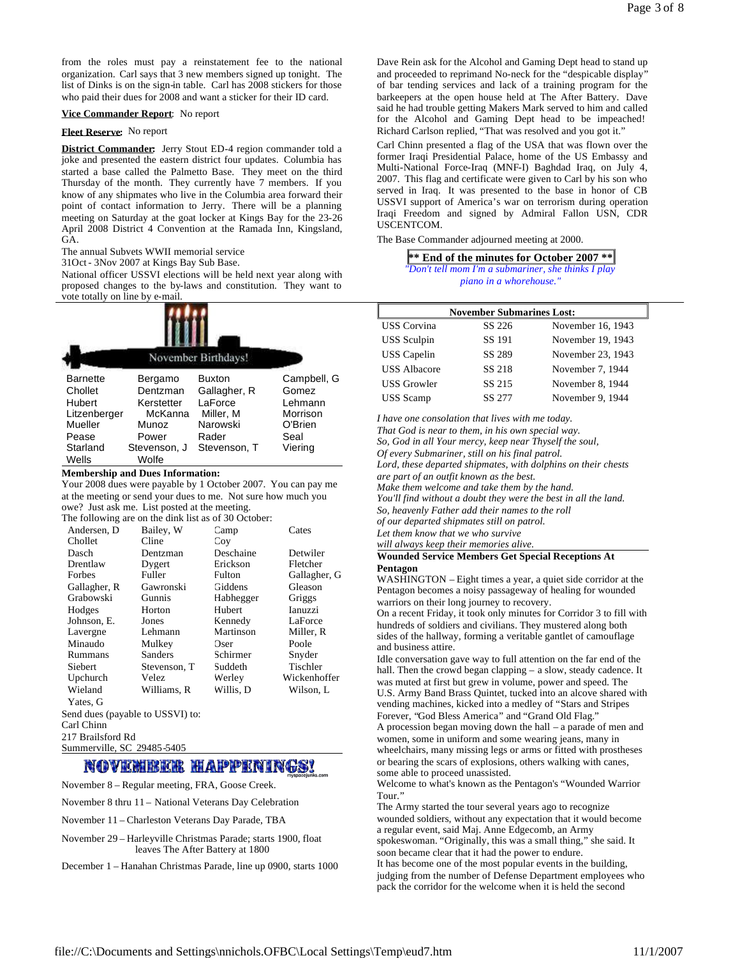from the roles must pay a reinstatement fee to the national organization. Carl says that 3 new members signed up tonight. The list of Dinks is on the sign-in table. Carl has 2008 stickers for those who paid their dues for 2008 and want a sticker for their ID card.

#### **Vice Commander Report**: No report

### **Fleet Reserve:** No report

**District Commander:** Jerry Stout ED-4 region commander told a joke and presented the eastern district four updates. Columbia has started a base called the Palmetto Base. They meet on the third Thursday of the month. They currently have 7 members. If you know of any shipmates who live in the Columbia area forward their point of contact information to Jerry. There will be a planning meeting on Saturday at the goat locker at Kings Bay for the 23-26 April 2008 District 4 Convention at the Ramada Inn, Kingsland, GA.

The annual Subvets WWII memorial service

31Oct- 3Nov 2007 at Kings Bay Sub Base.

National officer USSVI elections will be held next year along with proposed changes to the by-laws and constitution. They want to vote totally on line by e-mail.

|                                                                 |                                                       | November Birthdays!                                               |                                                        |
|-----------------------------------------------------------------|-------------------------------------------------------|-------------------------------------------------------------------|--------------------------------------------------------|
| <b>Barnette</b><br>Chollet<br>Hubert<br>Litzenberger<br>Mueller | Bergamo<br>Dentzman<br>Kerstetter<br>McKanna<br>Munoz | <b>Buxton</b><br>Gallagher, R<br>LaForce<br>Miller, M<br>Narowski | Campbell, G<br>Gomez<br>Lehmann<br>Morrison<br>O'Brien |
| Pease<br>Starland<br>Wells                                      | Power<br>Stevenson, J<br>Wolfe                        | Rader<br>Stevenson. T                                             | Seal<br>Viering                                        |

### **Membership and Dues Information:**

Your 2008 dues were payable by 1 October 2007. You can pay me at the meeting or send your dues to me. Not sure how much you owe? Just ask me. List posted at the meeting.

| The following are on the dink list as of 30 October: |              |           |                |
|------------------------------------------------------|--------------|-----------|----------------|
| Andersen, D                                          | Bailey, W    | Camp      | Cates          |
| Chollet                                              | Cline        | Cov       |                |
| Dasch                                                | Dentzman     | Deschaine | Detwiler       |
| Drentlaw                                             | Dygert       | Erickson  | Fletcher       |
| Forbes                                               | Fuller       | Fulton    | Gallagher, G   |
| Gallagher, R                                         | Gawronski    | Giddens   | Gleason        |
| Grabowski                                            | Gunnis       | Habhegger | Griggs         |
| Hodges                                               | Horton       | Hubert    | <b>Ianuzzi</b> |
| Johnson, E.                                          | Jones        | Kennedy   | LaForce        |
| Lavergne                                             | Lehmann      | Martinson | Miller, R      |
| Minaudo                                              | Mulkey       | Oser      | Poole          |
| Rummans                                              | Sanders      | Schirmer  | Snyder         |
| Siebert                                              | Stevenson, T | Suddeth   | Tischler       |
| Upchurch                                             | Velez        | Werley    | Wickenhoffer   |
| Wieland                                              | Williams, R  | Willis, D | Wilson, L      |
| Yates, G                                             |              |           |                |
| Send dues (payable to USSVI) to:                     |              |           |                |
| $\sim$ $\sim$ $\sim$                                 |              |           |                |

Carl Chinn

217 Brailsford Rd Summerville, SC 29485-5405

# NOVEMBER HAPPENINGS!

November 8 – Regular meeting, FRA, Goose Creek.

November 8 thru 11 – National Veterans Day Celebration

November 11 – Charleston Veterans Day Parade, TBA

November 29 – Harleyville Christmas Parade; starts 1900, float leaves The After Battery at 1800

December 1 – Hanahan Christmas Parade, line up 0900, starts 1000

Dave Rein ask for the Alcohol and Gaming Dept head to stand up and proceeded to reprimand No-neck for the "despicable display" of bar tending services and lack of a training program for the barkeepers at the open house held at The After Battery. Dave said he had trouble getting Makers Mark served to him and called for the Alcohol and Gaming Dept head to be impeached! Richard Carlson replied, "That was resolved and you got it."

Carl Chinn presented a flag of the USA that was flown over the former Iraqi Presidential Palace, home of the US Embassy and Multi-National Force-Iraq (MNF-I) Baghdad Iraq, on July 4, 2007. This flag and certificate were given to Carl by his son who served in Iraq. It was presented to the base in honor of CB USSVI support of America's war on terrorism during operation Iraqi Freedom and signed by Admiral Fallon USN, CDR USCENTCOM.

The Base Commander adjourned meeting at 2000.

| <b><del></del></b> <i><del>**</del></i> End of the minutes for October 2007 $**$ ■ |  |  |
|------------------------------------------------------------------------------------|--|--|
| "Don't tell mom I'm a submariner, she thinks I play                                |  |  |
| piano in a whorehouse."                                                            |  |  |

| <b>November Submarines Lost:</b> |        |                   |
|----------------------------------|--------|-------------------|
| <b>USS</b> Corvina               | SS 226 | November 16, 1943 |
| <b>USS</b> Sculpin               | SS 191 | November 19, 1943 |
| <b>USS</b> Capelin               | SS 289 | November 23, 1943 |
| <b>USS Albacore</b>              | SS 218 | November 7, 1944  |
| <b>USS Growler</b>               | SS 215 | November 8, 1944  |
| <b>USS</b> Scamp                 | SS 277 | November 9, 1944  |

*I have one consolation that lives with me today.*

*That God is near to them, in his own special way.*

*So, God in all Your mercy, keep near Thyself the soul,*

*Of every Submariner, still on his final patrol.*

*Lord, these departed shipmates, with dolphins on their chests are part of an outfit known as the best.*

*Make them welcome and take them by the hand.*

*You'll find without a doubt they were the best in all the land.*

*So, heavenly Father add their names to the roll*

*of our departed shipmates still on patrol.*

*Let them know that we who survive*

*will always keep their memories alive.* **Wounded Service Members Get Special Receptions At**

# **Pentagon**

WASHINGTON – Eight times a year, a quiet side corridor at the Pentagon becomes a noisy passageway of healing for wounded warriors on their long journey to recovery.

On a recent Friday, it took only minutes for Corridor 3 to fill with hundreds of soldiers and civilians. They mustered along both sides of the hallway, forming a veritable gantlet of camouflage and business attire.

Idle conversation gave way to full attention on the far end of the hall. Then the crowd began clapping – a slow, steady cadence. It was muted at first but grew in volume, power and speed. The U.S. Army Band Brass Quintet, tucked into an alcove shared with vending machines, kicked into a medley of "Stars and Stripes Forever, "God Bless America" and "Grand Old Flag."

A procession began moving down the hall – a parade of men and women, some in uniform and some wearing jeans, many in wheelchairs, many missing legs or arms or fitted with prostheses or bearing the scars of explosions, others walking with canes, some able to proceed unassisted.

Welcome to what's known as the Pentagon's "Wounded Warrior Tour."

The Army started the tour several years ago to recognize wounded soldiers, without any expectation that it would become a regular event, said Maj. Anne Edgecomb, an Army spokeswoman. "Originally, this was a small thing," she said. It soon became clear that it had the power to endure.

It has become one of the most popular events in the building, judging from the number of Defense Department employees who pack the corridor for the welcome when it is held the second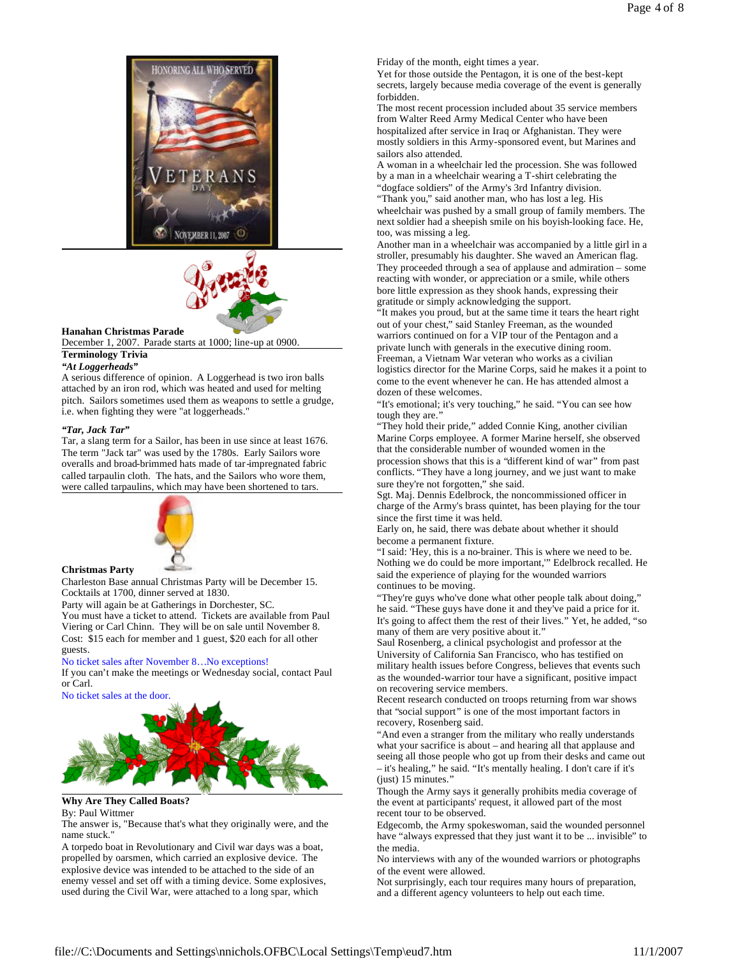



#### **Hanahan Christmas Parade**

December 1, 2007. Parade starts at 1000; line-up at 0900.

### **Terminology Trivia**

#### *"At Loggerheads"*

A serious difference of opinion. A Loggerhead is two iron balls attached by an iron rod, which was heated and used for melting pitch. Sailors sometimes used them as weapons to settle a grudge, i.e. when fighting they were "at loggerheads."

#### *"Tar, Jack Tar"*

Tar, a slang term for a Sailor, has been in use since at least 1676. The term "Jack tar" was used by the 1780s. Early Sailors wore overalls and broad-brimmed hats made of tar-impregnated fabric called tarpaulin cloth. The hats, and the Sailors who wore them, were called tarpaulins, which may have been shortened to tars.



### **Christmas Party**

Charleston Base annual Christmas Party will be December 15. Cocktails at 1700, dinner served at 1830.

Party will again be at Gatherings in Dorchester, SC.

You must have a ticket to attend. Tickets are available from Paul Viering or Carl Chinn. They will be on sale until November 8. Cost: \$15 each for member and 1 guest, \$20 each for all other guests.

#### No ticket sales after November 8…No exceptions!

If you can't make the meetings or Wednesday social, contact Paul or Carl.

No ticket sales at the door.



# **Why Are They Called Boats?**

By: Paul Wittmer

The answer is, "Because that's what they originally were, and the name stuck."

A torpedo boat in Revolutionary and Civil war days was a boat, propelled by oarsmen, which carried an explosive device. The explosive device was intended to be attached to the side of an enemy vessel and set off with a timing device. Some explosives, used during the Civil War, were attached to a long spar, which

Friday of the month, eight times a year.

Yet for those outside the Pentagon, it is one of the best-kept secrets, largely because media coverage of the event is generally forbidden.

The most recent procession included about 35 service members from Walter Reed Army Medical Center who have been hospitalized after service in Iraq or Afghanistan. They were mostly soldiers in this Army-sponsored event, but Marines and sailors also attended.

A woman in a wheelchair led the procession. She was followed by a man in a wheelchair wearing a T-shirt celebrating the "dogface soldiers" of the Army's 3rd Infantry division.

"Thank you," said another man, who has lost a leg. His

wheelchair was pushed by a small group of family members. The next soldier had a sheepish smile on his boyish-looking face. He, too, was missing a leg.

Another man in a wheelchair was accompanied by a little girl in a stroller, presumably his daughter. She waved an American flag. They proceeded through a sea of applause and admiration – some reacting with wonder, or appreciation or a smile, while others bore little expression as they shook hands, expressing their gratitude or simply acknowledging the support.

"It makes you proud, but at the same time it tears the heart right out of your chest," said Stanley Freeman, as the wounded warriors continued on for a VIP tour of the Pentagon and a

private lunch with generals in the executive dining room. Freeman, a Vietnam War veteran who works as a civilian logistics director for the Marine Corps, said he makes it a point to come to the event whenever he can. He has attended almost a dozen of these welcomes.

"It's emotional; it's very touching," he said. "You can see how tough they are."

"They hold their pride," added Connie King, another civilian Marine Corps employee. A former Marine herself, she observed that the considerable number of wounded women in the procession shows that this is a "different kind of war" from past conflicts. "They have a long journey, and we just want to make sure they're not forgotten," she said.

Sgt. Maj. Dennis Edelbrock, the noncommissioned officer in charge of the Army's brass quintet, has been playing for the tour since the first time it was held.

Early on, he said, there was debate about whether it should become a permanent fixture.

"I said: 'Hey, this is a no-brainer. This is where we need to be. Nothing we do could be more important,'" Edelbrock recalled. He said the experience of playing for the wounded warriors continues to be moving.

"They're guys who've done what other people talk about doing," he said. "These guys have done it and they've paid a price for it. It's going to affect them the rest of their lives." Yet, he added, "so many of them are very positive about it.'

Saul Rosenberg, a clinical psychologist and professor at the University of California San Francisco, who has testified on military health issues before Congress, believes that events such as the wounded-warrior tour have a significant, positive impact on recovering service members.

Recent research conducted on troops returning from war shows that "social support" is one of the most important factors in recovery, Rosenberg said.

"And even a stranger from the military who really understands what your sacrifice is about – and hearing all that applause and seeing all those people who got up from their desks and came out – it's healing," he said. "It's mentally healing. I don't care if it's (just) 15 minutes."

Though the Army says it generally prohibits media coverage of the event at participants' request, it allowed part of the most recent tour to be observed.

Edgecomb, the Army spokeswoman, said the wounded personnel have "always expressed that they just want it to be ... invisible" to the media.

No interviews with any of the wounded warriors or photographs of the event were allowed.

Not surprisingly, each tour requires many hours of preparation, and a different agency volunteers to help out each time.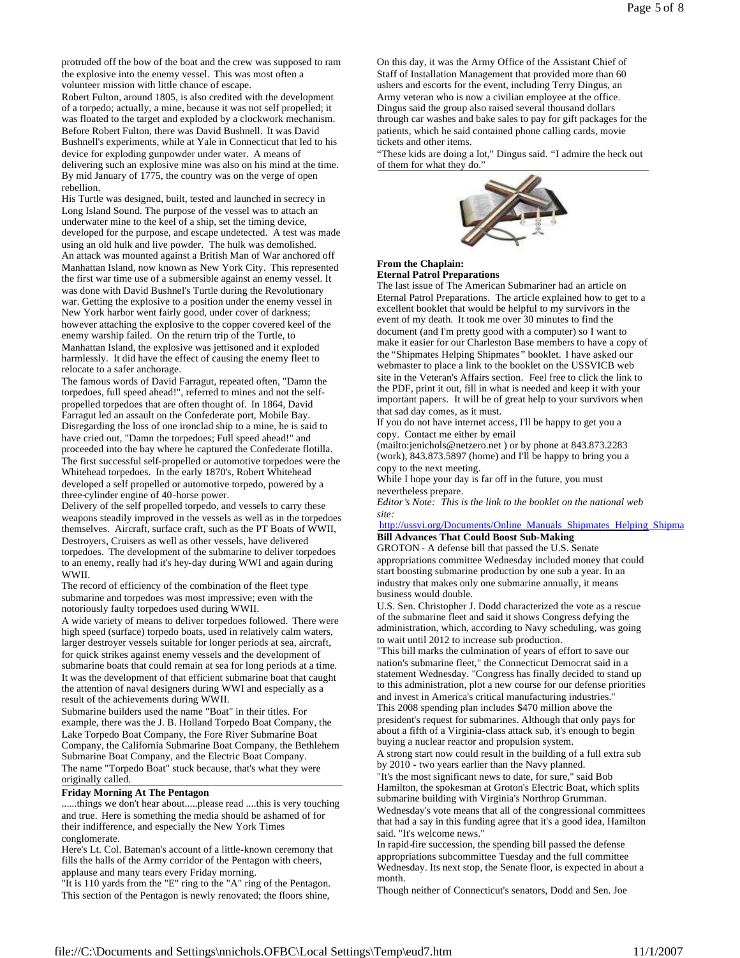protruded off the bow of the boat and the crew was supposed to ram the explosive into the enemy vessel. This was most often a volunteer mission with little chance of escape.

Robert Fulton, around 1805, is also credited with the development of a torpedo; actually, a mine, because it was not self propelled; it was floated to the target and exploded by a clockwork mechanism. Before Robert Fulton, there was David Bushnell. It was David Bushnell's experiments, while at Yale in Connecticut that led to his device for exploding gunpowder under water. A means of delivering such an explosive mine was also on his mind at the time. By mid January of 1775, the country was on the verge of open rebellion.

His Turtle was designed, built, tested and launched in secrecy in Long Island Sound. The purpose of the vessel was to attach an underwater mine to the keel of a ship, set the timing device, developed for the purpose, and escape undetected. A test was made using an old hulk and live powder. The hulk was demolished. An attack was mounted against a British Man of War anchored off Manhattan Island, now known as New York City. This represented the first war time use of a submersible against an enemy vessel. It was done with David Bushnel's Turtle during the Revolutionary war. Getting the explosive to a position under the enemy vessel in New York harbor went fairly good, under cover of darkness; however attaching the explosive to the copper covered keel of the enemy warship failed. On the return trip of the Turtle, to Manhattan Island, the explosive was jettisoned and it exploded

harmlessly. It did have the effect of causing the enemy fleet to relocate to a safer anchorage.

The famous words of David Farragut, repeated often, "Damn the torpedoes, full speed ahead!", referred to mines and not the selfpropelled torpedoes that are often thought of. In 1864, David Farragut led an assault on the Confederate port, Mobile Bay. Disregarding the loss of one ironclad ship to a mine, he is said to have cried out, "Damn the torpedoes; Full speed ahead!" and proceeded into the bay where he captured the Confederate flotilla. The first successful self-propelled or automotive torpedoes were the Whitehead torpedoes. In the early 1870's, Robert Whitehead developed a self propelled or automotive torpedo, powered by a three-cylinder engine of 40-horse power.

Delivery of the self propelled torpedo, and vessels to carry these weapons steadily improved in the vessels as well as in the torpedoes themselves. Aircraft, surface craft, such as the PT Boats of WWII, Destroyers, Cruisers as well as other vessels, have delivered torpedoes. The development of the submarine to deliver torpedoes to an enemy, really had it's hey-day during WWI and again during WWII.

The record of efficiency of the combination of the fleet type submarine and torpedoes was most impressive; even with the notoriously faulty torpedoes used during WWII.

A wide variety of means to deliver torpedoes followed. There were high speed (surface) torpedo boats, used in relatively calm waters, larger destroyer vessels suitable for longer periods at sea, aircraft, for quick strikes against enemy vessels and the development of submarine boats that could remain at sea for long periods at a time. It was the development of that efficient submarine boat that caught the attention of naval designers during WWI and especially as a result of the achievements during WWII.

Submarine builders used the name "Boat" in their titles. For example, there was the J. B. Holland Torpedo Boat Company, the Lake Torpedo Boat Company, the Fore River Submarine Boat Company, the California Submarine Boat Company, the Bethlehem Submarine Boat Company, and the Electric Boat Company. The name "Torpedo Boat" stuck because, that's what they were originally called.

### **Friday Morning At The Pentagon**

......things we don't hear about.....please read ....this is very touching and true. Here is something the media should be ashamed of for their indifference, and especially the New York Times conglomerate.

Here's Lt. Col. Bateman's account of a little-known ceremony that fills the halls of the Army corridor of the Pentagon with cheers, applause and many tears every Friday morning.

"It is 110 yards from the "E" ring to the "A" ring of the Pentagon. This section of the Pentagon is newly renovated; the floors shine,

On this day, it was the Army Office of the Assistant Chief of Staff of Installation Management that provided more than 60 ushers and escorts for the event, including Terry Dingus, an Army veteran who is now a civilian employee at the office. Dingus said the group also raised several thousand dollars through car washes and bake sales to pay for gift packages for the patients, which he said contained phone calling cards, movie tickets and other items.

"These kids are doing a lot," Dingus said. "I admire the heck out of them for what they do."



### **From the Chaplain: Eternal Patrol Preparations**

The last issue of The American Submariner had an article on Eternal Patrol Preparations. The article explained how to get to a excellent booklet that would be helpful to my survivors in the event of my death. It took me over 30 minutes to find the document (and I'm pretty good with a computer) so I want to make it easier for our Charleston Base members to have a copy of the "Shipmates Helping Shipmates" booklet. I have asked our webmaster to place a link to the booklet on the USSVICB web site in the Veteran's Affairs section. Feel free to click the link to the PDF, print it out, fill in what is needed and keep it with your important papers. It will be of great help to your survivors when that sad day comes, as it must.

If you do not have internet access, I'll be happy to get you a copy. Contact me either by email

(mailto:jenichols@netzero.net ) or by phone at 843.873.2283 (work), 843.873.5897 (home) and I'll be happy to bring you a copy to the next meeting.

While I hope your day is far off in the future, you must nevertheless prepare.

*Editor's Note: This is the link to the booklet on the national web site:*

http://ussvi.org/Documents/Online\_Manuals\_Shipmates\_Helping\_Shipma **Bill Advances That Could Boost Sub-Making**

GROTON - A defense bill that passed the U.S. Senate appropriations committee Wednesday included money that could start boosting submarine production by one sub a year. In an industry that makes only one submarine annually, it means business would double.

U.S. Sen. Christopher J. Dodd characterized the vote as a rescue of the submarine fleet and said it shows Congress defying the administration, which, according to Navy scheduling, was going to wait until 2012 to increase sub production.

"This bill marks the culmination of years of effort to save our nation's submarine fleet," the Connecticut Democrat said in a statement Wednesday. "Congress has finally decided to stand up to this administration, plot a new course for our defense priorities and invest in America's critical manufacturing industries." This 2008 spending plan includes \$470 million above the president's request for submarines. Although that only pays for

about a fifth of a Virginia-class attack sub, it's enough to begin buying a nuclear reactor and propulsion system.

A strong start now could result in the building of a full extra sub by 2010 - two years earlier than the Navy planned.

"It's the most significant news to date, for sure," said Bob Hamilton, the spokesman at Groton's Electric Boat, which splits submarine building with Virginia's Northrop Grumman. Wednesday's vote means that all of the congressional committees that had a say in this funding agree that it's a good idea, Hamilton said. "It's welcome news."

In rapid-fire succession, the spending bill passed the defense appropriations subcommittee Tuesday and the full committee Wednesday. Its next stop, the Senate floor, is expected in about a month.

Though neither of Connecticut's senators, Dodd and Sen. Joe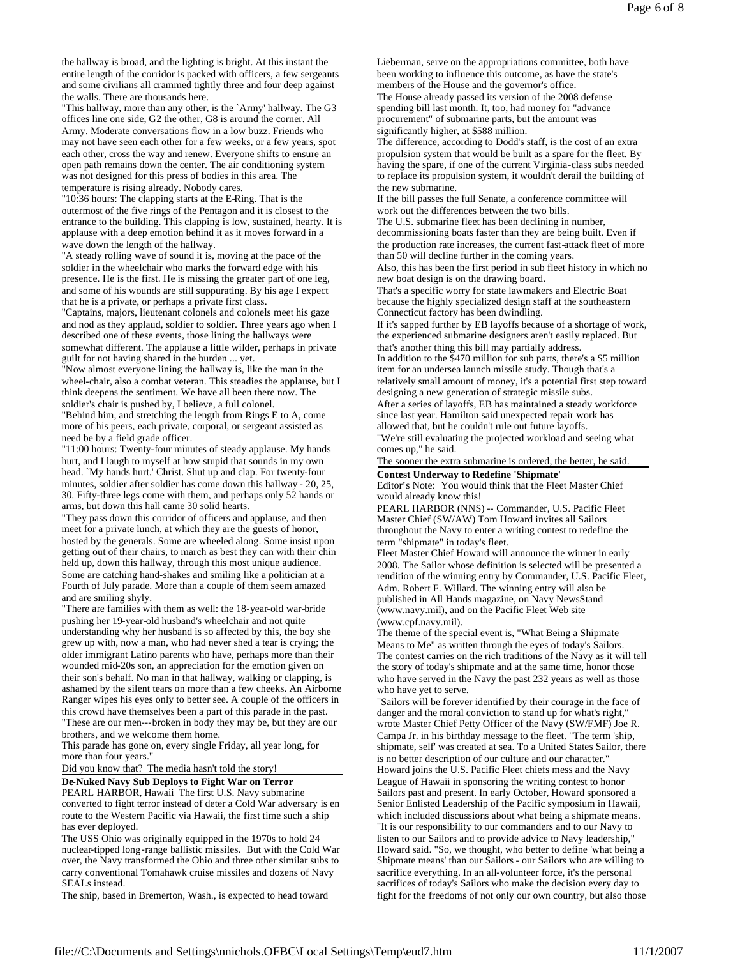the hallway is broad, and the lighting is bright. At this instant the entire length of the corridor is packed with officers, a few sergeants and some civilians all crammed tightly three and four deep against the walls. There are thousands here.

"This hallway, more than any other, is the `Army' hallway. The G3 offices line one side, G2 the other, G8 is around the corner. All Army. Moderate conversations flow in a low buzz. Friends who may not have seen each other for a few weeks, or a few years, spot each other, cross the way and renew. Everyone shifts to ensure an open path remains down the center. The air conditioning system was not designed for this press of bodies in this area. The temperature is rising already. Nobody cares.

"10:36 hours: The clapping starts at the E-Ring. That is the outermost of the five rings of the Pentagon and it is closest to the entrance to the building. This clapping is low, sustained, hearty. It is applause with a deep emotion behind it as it moves forward in a wave down the length of the hallway.

"A steady rolling wave of sound it is, moving at the pace of the soldier in the wheelchair who marks the forward edge with his presence. He is the first. He is missing the greater part of one leg, and some of his wounds are still suppurating. By his age I expect that he is a private, or perhaps a private first class.

"Captains, majors, lieutenant colonels and colonels meet his gaze and nod as they applaud, soldier to soldier. Three years ago when I described one of these events, those lining the hallways were

somewhat different. The applause a little wilder, perhaps in private guilt for not having shared in the burden ... yet.

"Now almost everyone lining the hallway is, like the man in the wheel-chair, also a combat veteran. This steadies the applause, but I think deepens the sentiment. We have all been there now. The soldier's chair is pushed by, I believe, a full colonel.

"Behind him, and stretching the length from Rings E to A, come more of his peers, each private, corporal, or sergeant assisted as need be by a field grade officer.

"11:00 hours: Twenty-four minutes of steady applause. My hands hurt, and I laugh to myself at how stupid that sounds in my own head. `My hands hurt.' Christ. Shut up and clap. For twenty-four minutes, soldier after soldier has come down this hallway - 20, 25, 30. Fifty-three legs come with them, and perhaps only 52 hands or arms, but down this hall came 30 solid hearts.

"They pass down this corridor of officers and applause, and then meet for a private lunch, at which they are the guests of honor, hosted by the generals. Some are wheeled along. Some insist upon getting out of their chairs, to march as best they can with their chin held up, down this hallway, through this most unique audience. Some are catching hand-shakes and smiling like a politician at a Fourth of July parade. More than a couple of them seem amazed and are smiling shyly.

"There are families with them as well: the 18-year-old war-bride pushing her 19-year-old husband's wheelchair and not quite understanding why her husband is so affected by this, the boy she grew up with, now a man, who had never shed a tear is crying; the older immigrant Latino parents who have, perhaps more than their wounded mid-20s son, an appreciation for the emotion given on their son's behalf. No man in that hallway, walking or clapping, is ashamed by the silent tears on more than a few cheeks. An Airborne Ranger wipes his eyes only to better see. A couple of the officers in this crowd have themselves been a part of this parade in the past. "These are our men---broken in body they may be, but they are our

brothers, and we welcome them home. This parade has gone on, every single Friday, all year long, for more than four years."

Did you know that? The media hasn't told the story!

**De-Nuked Navy Sub Deploys to Fight War on Terror**

PEARL HARBOR, Hawaii The first U.S. Navy submarine converted to fight terror instead of deter a Cold War adversary is en route to the Western Pacific via Hawaii, the first time such a ship has ever deployed.

The USS Ohio was originally equipped in the 1970s to hold 24 nuclear-tipped long-range ballistic missiles. But with the Cold War over, the Navy transformed the Ohio and three other similar subs to carry conventional Tomahawk cruise missiles and dozens of Navy SEALs instead.

The ship, based in Bremerton, Wash., is expected to head toward

Lieberman, serve on the appropriations committee, both have been working to influence this outcome, as have the state's members of the House and the governor's office.

The House already passed its version of the 2008 defense spending bill last month. It, too, had money for "advance procurement" of submarine parts, but the amount was significantly higher, at \$588 million.

The difference, according to Dodd's staff, is the cost of an extra propulsion system that would be built as a spare for the fleet. By having the spare, if one of the current Virginia-class subs needed to replace its propulsion system, it wouldn't derail the building of the new submarine.

If the bill passes the full Senate, a conference committee will work out the differences between the two bills.

The U.S. submarine fleet has been declining in number, decommissioning boats faster than they are being built. Even if the production rate increases, the current fast-attack fleet of more than 50 will decline further in the coming years.

Also, this has been the first period in sub fleet history in which no new boat design is on the drawing board.

That's a specific worry for state lawmakers and Electric Boat because the highly specialized design staff at the southeastern Connecticut factory has been dwindling.

If it's sapped further by EB layoffs because of a shortage of work, the experienced submarine designers aren't easily replaced. But that's another thing this bill may partially address.

In addition to the \$470 million for sub parts, there's a \$5 million item for an undersea launch missile study. Though that's a relatively small amount of money, it's a potential first step toward

designing a new generation of strategic missile subs. After a series of layoffs, EB has maintained a steady workforce

since last year. Hamilton said unexpected repair work has allowed that, but he couldn't rule out future layoffs.

"We're still evaluating the projected workload and seeing what comes up," he said.

The sooner the extra submarine is ordered, the better, he said.

**Contest Underway to Redefine 'Shipmate'** Editor's Note: You would think that the Fleet Master Chief

would already know this! PEARL HARBOR (NNS) -- Commander, U.S. Pacific Fleet Master Chief (SW/AW) Tom Howard invites all Sailors throughout the Navy to enter a writing contest to redefine the term "shipmate" in today's fleet.

Fleet Master Chief Howard will announce the winner in early 2008. The Sailor whose definition is selected will be presented a rendition of the winning entry by Commander, U.S. Pacific Fleet, Adm. Robert F. Willard. The winning entry will also be published in All Hands magazine, on Navy NewsStand (www.navy.mil), and on the Pacific Fleet Web site (www.cpf.navy.mil).

The theme of the special event is, "What Being a Shipmate Means to Me" as written through the eyes of today's Sailors. The contest carries on the rich traditions of the Navy as it will tell the story of today's shipmate and at the same time, honor those who have served in the Navy the past 232 years as well as those who have yet to serve.

"Sailors will be forever identified by their courage in the face of danger and the moral conviction to stand up for what's right," wrote Master Chief Petty Officer of the Navy (SW/FMF) Joe R. Campa Jr. in his birthday message to the fleet. "The term 'ship, shipmate, self' was created at sea. To a United States Sailor, there is no better description of our culture and our character." Howard joins the U.S. Pacific Fleet chiefs mess and the Navy League of Hawaii in sponsoring the writing contest to honor Sailors past and present. In early October, Howard sponsored a Senior Enlisted Leadership of the Pacific symposium in Hawaii, which included discussions about what being a shipmate means. "It is our responsibility to our commanders and to our Navy to listen to our Sailors and to provide advice to Navy leadership," Howard said. "So, we thought, who better to define 'what being a Shipmate means' than our Sailors - our Sailors who are willing to sacrifice everything. In an all-volunteer force, it's the personal sacrifices of today's Sailors who make the decision every day to fight for the freedoms of not only our own country, but also those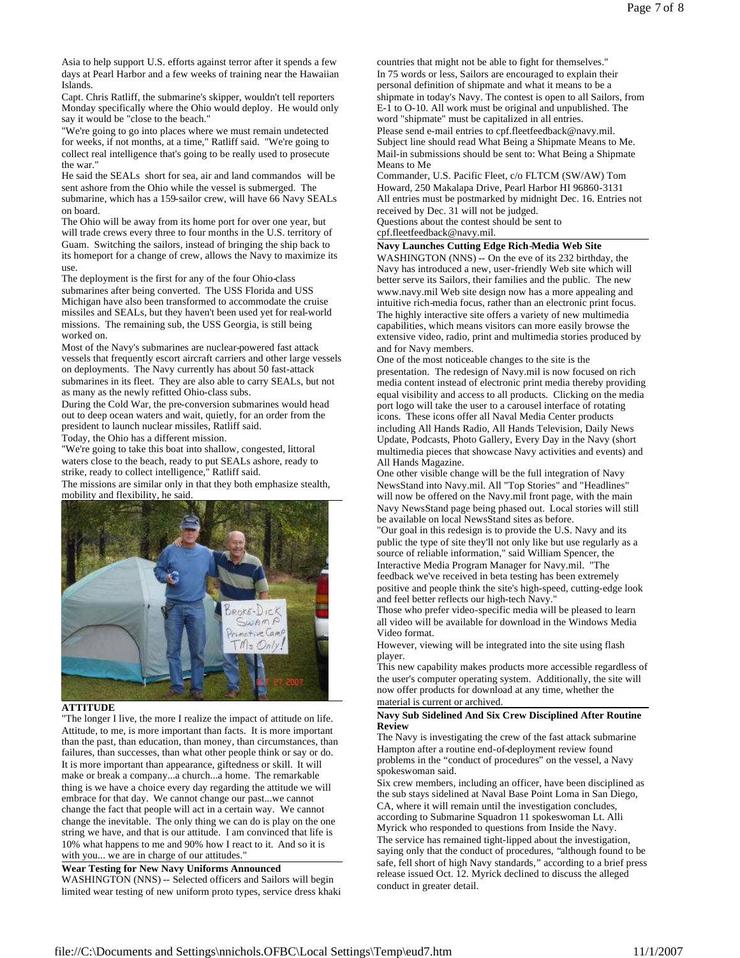Asia to help support U.S. efforts against terror after it spends a few days at Pearl Harbor and a few weeks of training near the Hawaiian Islands.

Capt. Chris Ratliff, the submarine's skipper, wouldn't tell reporters Monday specifically where the Ohio would deploy. He would only say it would be "close to the beach."

"We're going to go into places where we must remain undetected for weeks, if not months, at a time," Ratliff said. "We're going to collect real intelligence that's going to be really used to prosecute the war."

He said the SEALs short for sea, air and land commandos will be sent ashore from the Ohio while the vessel is submerged. The submarine, which has a 159-sailor crew, will have 66 Navy SEALs on board.

The Ohio will be away from its home port for over one year, but will trade crews every three to four months in the U.S. territory of Guam. Switching the sailors, instead of bringing the ship back to its homeport for a change of crew, allows the Navy to maximize its use.

The deployment is the first for any of the four Ohio-class submarines after being converted. The USS Florida and USS Michigan have also been transformed to accommodate the cruise missiles and SEALs, but they haven't been used yet for real-world missions. The remaining sub, the USS Georgia, is still being worked on.

Most of the Navy's submarines are nuclear-powered fast attack vessels that frequently escort aircraft carriers and other large vessels on deployments. The Navy currently has about 50 fast-attack submarines in its fleet. They are also able to carry SEALs, but not as many as the newly refitted Ohio-class subs.

During the Cold War, the pre-conversion submarines would head out to deep ocean waters and wait, quietly, for an order from the president to launch nuclear missiles, Ratliff said.

Today, the Ohio has a different mission.

"We're going to take this boat into shallow, congested, littoral waters close to the beach, ready to put SEALs ashore, ready to strike, ready to collect intelligence," Ratliff said.

The missions are similar only in that they both emphasize stealth, mobility and flexibility, he said.



# **ATTITUDE**

"The longer I live, the more I realize the impact of attitude on life. Attitude, to me, is more important than facts. It is more important than the past, than education, than money, than circumstances, than failures, than successes, than what other people think or say or do. It is more important than appearance, giftedness or skill. It will make or break a company...a church...a home. The remarkable thing is we have a choice every day regarding the attitude we will embrace for that day. We cannot change our past...we cannot change the fact that people will act in a certain way. We cannot change the inevitable. The only thing we can do is play on the one string we have, and that is our attitude. I am convinced that life is 10% what happens to me and 90% how I react to it. And so it is with you... we are in charge of our attitudes.

# **Wear Testing for New Navy Uniforms Announced**

WASHINGTON (NNS) -- Selected officers and Sailors will begin limited wear testing of new uniform proto types, service dress khaki countries that might not be able to fight for themselves." In 75 words or less, Sailors are encouraged to explain their personal definition of shipmate and what it means to be a shipmate in today's Navy. The contest is open to all Sailors, from E-1 to O-10. All work must be original and unpublished. The word "shipmate" must be capitalized in all entries. Please send e-mail entries to cpf.fleetfeedback@navy.mil. Subject line should read What Being a Shipmate Means to Me. Mail-in submissions should be sent to: What Being a Shipmate Means to Me

Commander, U.S. Pacific Fleet, c/o FLTCM (SW/AW) Tom Howard, 250 Makalapa Drive, Pearl Harbor HI 96860-3131 All entries must be postmarked by midnight Dec. 16. Entries not received by Dec. 31 will not be judged.

Questions about the contest should be sent to cpf.fleetfeedback@navy.mil.

# **Navy Launches Cutting Edge Rich-Media Web Site**

WASHINGTON (NNS) -- On the eve of its 232 birthday, the Navy has introduced a new, user-friendly Web site which will better serve its Sailors, their families and the public. The new www.navy.mil Web site design now has a more appealing and intuitive rich-media focus, rather than an electronic print focus. The highly interactive site offers a variety of new multimedia capabilities, which means visitors can more easily browse the extensive video, radio, print and multimedia stories produced by and for Navy members.

One of the most noticeable changes to the site is the presentation. The redesign of Navy.mil is now focused on rich media content instead of electronic print media thereby providing equal visibility and access to all products. Clicking on the media port logo will take the user to a carousel interface of rotating icons. These icons offer all Naval Media Center products including All Hands Radio, All Hands Television, Daily News Update, Podcasts, Photo Gallery, Every Day in the Navy (short multimedia pieces that showcase Navy activities and events) and All Hands Magazine.

One other visible change will be the full integration of Navy NewsStand into Navy.mil. All "Top Stories" and "Headlines" will now be offered on the Navy.mil front page, with the main Navy NewsStand page being phased out. Local stories will still be available on local NewsStand sites as before.

"Our goal in this redesign is to provide the U.S. Navy and its public the type of site they'll not only like but use regularly as a source of reliable information," said William Spencer, the Interactive Media Program Manager for Navy.mil. "The feedback we've received in beta testing has been extremely positive and people think the site's high-speed, cutting-edge look

and feel better reflects our high-tech Navy. Those who prefer video-specific media will be pleased to learn all video will be available for download in the Windows Media Video format.

However, viewing will be integrated into the site using flash player.

This new capability makes products more accessible regardless of the user's computer operating system. Additionally, the site will now offer products for download at any time, whether the material is current or archived.

### **Navy Sub Sidelined And Six Crew Disciplined After Routine Review**

The Navy is investigating the crew of the fast attack submarine Hampton after a routine end-of-deployment review found problems in the "conduct of procedures" on the vessel, a Navy spokeswoman said.

Six crew members, including an officer, have been disciplined as the sub stays sidelined at Naval Base Point Loma in San Diego, CA, where it will remain until the investigation concludes, according to Submarine Squadron 11 spokeswoman Lt. Alli Myrick who responded to questions from Inside the Navy. The service has remained tight-lipped about the investigation, saying only that the conduct of procedures, "although found to be safe, fell short of high Navy standards," according to a brief press release issued Oct. 12. Myrick declined to discuss the alleged conduct in greater detail.